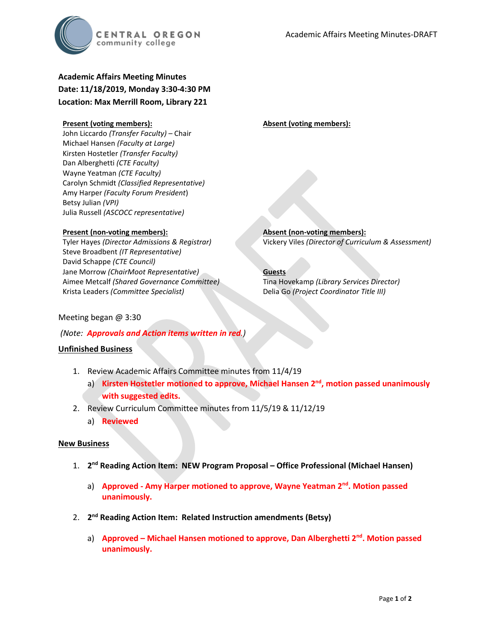

# **Academic Affairs Meeting Minutes Date: 11/18/2019, Monday 3:30-4:30 PM Location: Max Merrill Room, Library 221**

#### **Present (voting members):**

John Liccardo *(Transfer Faculty)* – Chair Michael Hansen *(Faculty at Large)* Kirsten Hostetler *(Transfer Faculty)* Dan Alberghetti *(CTE Faculty)* Wayne Yeatman *(CTE Faculty)* Carolyn Schmidt *(Classified Representative)* Amy Harper *(Faculty Forum President*) Betsy Julian *(VPI)* Julia Russell *(ASCOCC representative)*

#### **Present (non-voting members):**

Tyler Hayes *(Director Admissions & Registrar)* Steve Broadbent *(IT Representative)* David Schappe *(CTE Council)* Jane Morrow *(ChairMoot Representative)* Aimee Metcalf *(Shared Governance Committee)* Krista Leaders *(Committee Specialist)*

**Absent (voting members):**

**Absent (non-voting members):** Vickery Viles *(Director of Curriculum & Assessment)*

**Guests** Tina Hovekamp *(Library Services Director)* Delia Go *(Project Coordinator Title III)*

Meeting began @ 3:30

*(Note: Approvals and Action items written in red.)*

### **Unfinished Business**

- 1. Review Academic Affairs Committee minutes from 11/4/19
	- a) **Kirsten Hostetler motioned to approve, Michael Hansen 2nd, motion passed unanimously with suggested edits.**
- 2. Review Curriculum Committee minutes from 11/5/19 & 11/12/19
	- a) **Reviewed**

#### **New Business**

- 1. **2nd Reading Action Item: NEW Program Proposal – Office Professional (Michael Hansen)**
	- a) **Approved - Amy Harper motioned to approve, Wayne Yeatman 2nd. Motion passed unanimously.**
- 2. **2nd Reading Action Item: Related Instruction amendments (Betsy)**
	- a) **Approved – Michael Hansen motioned to approve, Dan Alberghetti 2nd. Motion passed unanimously.**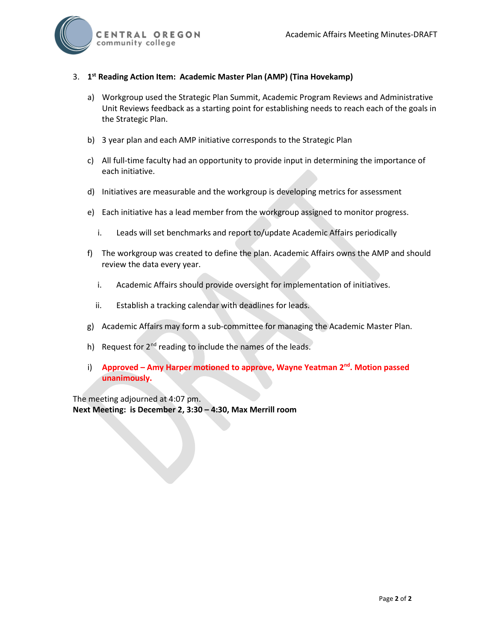

### 3. **1st Reading Action Item: Academic Master Plan (AMP) (Tina Hovekamp)**

- a) Workgroup used the Strategic Plan Summit, Academic Program Reviews and Administrative Unit Reviews feedback as a starting point for establishing needs to reach each of the goals in the Strategic Plan.
- b) 3 year plan and each AMP initiative corresponds to the Strategic Plan
- c) All full-time faculty had an opportunity to provide input in determining the importance of each initiative.
- d) Initiatives are measurable and the workgroup is developing metrics for assessment
- e) Each initiative has a lead member from the workgroup assigned to monitor progress.
	- i. Leads will set benchmarks and report to/update Academic Affairs periodically
- f) The workgroup was created to define the plan. Academic Affairs owns the AMP and should review the data every year.
	- i. Academic Affairs should provide oversight for implementation of initiatives.
	- ii. Establish a tracking calendar with deadlines for leads.
- g) Academic Affairs may form a sub-committee for managing the Academic Master Plan.
- h) Request for  $2^{nd}$  reading to include the names of the leads.
- i) **Approved – Amy Harper motioned to approve, Wayne Yeatman 2nd. Motion passed unanimously.**

The meeting adjourned at 4:07 pm. **Next Meeting: is December 2, 3:30 – 4:30, Max Merrill room**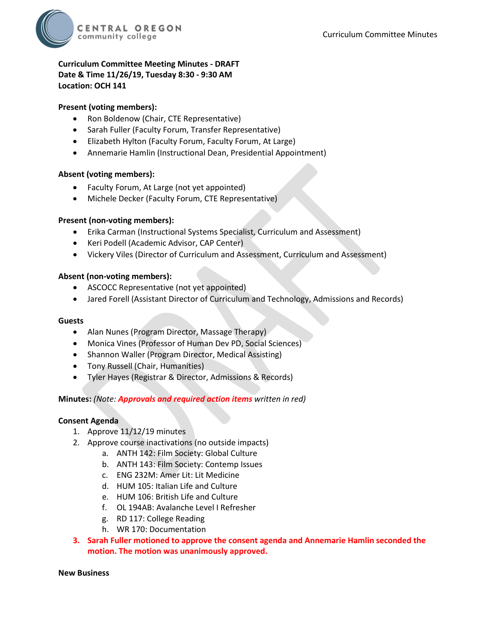

# **Curriculum Committee Meeting Minutes - DRAFT Date & Time 11/26/19, Tuesday 8:30 - 9:30 AM Location: OCH 141**

### **Present (voting members):**

- Ron Boldenow (Chair, CTE Representative)
- Sarah Fuller (Faculty Forum, Transfer Representative)
- Elizabeth Hylton (Faculty Forum, Faculty Forum, At Large)
- Annemarie Hamlin (Instructional Dean, Presidential Appointment)

### **Absent (voting members):**

- Faculty Forum, At Large (not yet appointed)
- Michele Decker (Faculty Forum, CTE Representative)

### **Present (non-voting members):**

- Erika Carman (Instructional Systems Specialist, Curriculum and Assessment)
- Keri Podell (Academic Advisor, CAP Center)
- Vickery Viles (Director of Curriculum and Assessment, Curriculum and Assessment)

### **Absent (non-voting members):**

- ASCOCC Representative (not yet appointed)
- Jared Forell (Assistant Director of Curriculum and Technology, Admissions and Records)

#### **Guests**

- Alan Nunes (Program Director, Massage Therapy)
- Monica Vines (Professor of Human Dev PD, Social Sciences)
- Shannon Waller (Program Director, Medical Assisting)
- Tony Russell (Chair, Humanities)
- Tyler Hayes (Registrar & Director, Admissions & Records)

### **Minutes:** *(Note: Approvals and required action items written in red)*

### **Consent Agenda**

- 1. Approve 11/12/19 minutes
- 2. Approve course inactivations (no outside impacts)
	- a. ANTH 142: Film Society: Global Culture
	- b. ANTH 143: Film Society: Contemp Issues
	- c. ENG 232M: Amer Lit: Lit Medicine
	- d. HUM 105: Italian Life and Culture
	- e. HUM 106: British Life and Culture
	- f. OL 194AB: Avalanche Level I Refresher
	- g. RD 117: College Reading
	- h. WR 170: Documentation
- **3. Sarah Fuller motioned to approve the consent agenda and Annemarie Hamlin seconded the motion. The motion was unanimously approved.**

#### **New Business**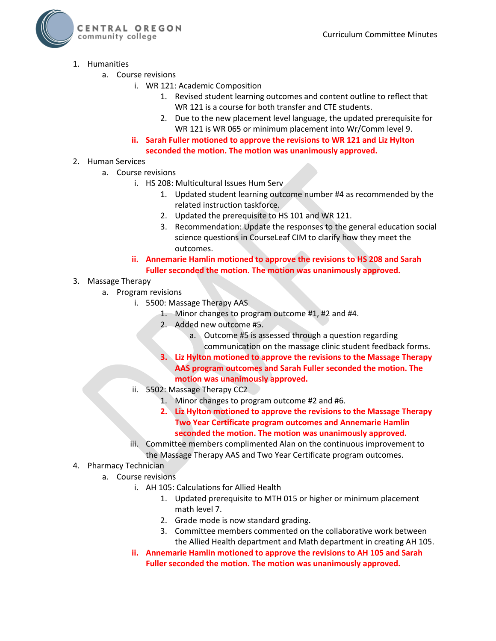

- 1. Humanities
	- a. Course revisions
		- i. WR 121: Academic Composition
			- 1. Revised student learning outcomes and content outline to reflect that WR 121 is a course for both transfer and CTE students.
			- 2. Due to the new placement level language, the updated prerequisite for WR 121 is WR 065 or minimum placement into Wr/Comm level 9.
		- **ii. Sarah Fuller motioned to approve the revisions to WR 121 and Liz Hylton seconded the motion. The motion was unanimously approved.**

# 2. Human Services

- a. Course revisions
	- i. HS 208: Multicultural Issues Hum Serv
		- 1. Updated student learning outcome number #4 as recommended by the related instruction taskforce.
		- 2. Updated the prerequisite to HS 101 and WR 121.
		- 3. Recommendation: Update the responses to the general education social science questions in CourseLeaf CIM to clarify how they meet the outcomes.
	- **ii. Annemarie Hamlin motioned to approve the revisions to HS 208 and Sarah Fuller seconded the motion. The motion was unanimously approved.**
- 3. Massage Therapy
	- a. Program revisions
		- i. 5500: Massage Therapy AAS
			- 1. Minor changes to program outcome #1, #2 and #4.
			- 2. Added new outcome #5.
				- a. Outcome #5 is assessed through a question regarding communication on the massage clinic student feedback forms.
			- **3. Liz Hylton motioned to approve the revisions to the Massage Therapy AAS program outcomes and Sarah Fuller seconded the motion. The motion was unanimously approved.**
		- ii. 5502: Massage Therapy CC2
			- 1. Minor changes to program outcome #2 and #6.
			- **2. Liz Hylton motioned to approve the revisions to the Massage Therapy Two Year Certificate program outcomes and Annemarie Hamlin seconded the motion. The motion was unanimously approved.**
		- iii. Committee members complimented Alan on the continuous improvement to the Massage Therapy AAS and Two Year Certificate program outcomes.
- 4. Pharmacy Technician
	- a. Course revisions
		- i. AH 105: Calculations for Allied Health
			- 1. Updated prerequisite to MTH 015 or higher or minimum placement math level 7.
			- 2. Grade mode is now standard grading.
			- 3. Committee members commented on the collaborative work between the Allied Health department and Math department in creating AH 105.
		- **ii. Annemarie Hamlin motioned to approve the revisions to AH 105 and Sarah Fuller seconded the motion. The motion was unanimously approved.**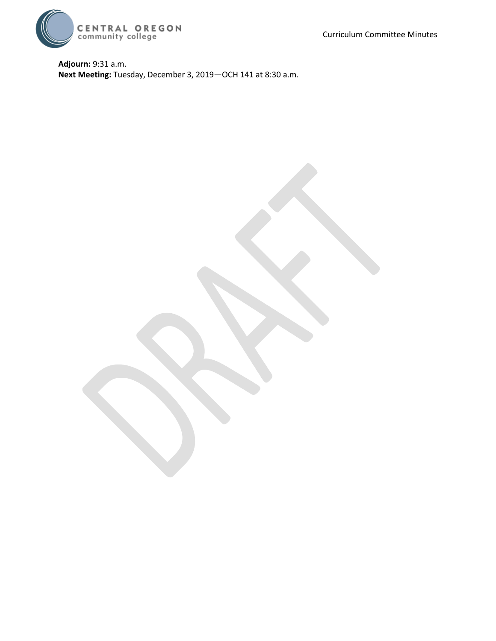Curriculum Committee Minutes



**Adjourn:** 9:31 a.m. **Next Meeting:** Tuesday, December 3, 2019—OCH 141 at 8:30 a.m.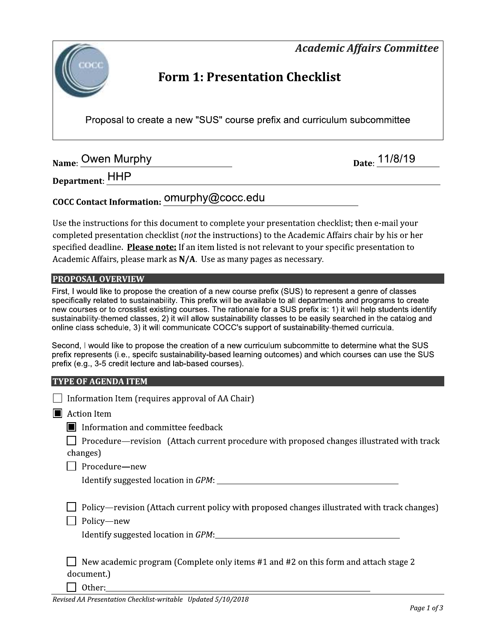

Proposal to create a new "SUS" course prefix and curriculum subcommittee

Name: Owen Murphy Name: 0001 Murphy

F7G;1:279:CDEEEEEEEEEEEEEEEEEEEEEEEEEEEEEEEEEEEEEEEEEEEEEEEEEEEEEEEEEEEEEEEEEEEEEEEEEEEEEEEEEEEEEEEEEEEEEEEEEEEEED ¡¡

# COCC Contact Information: <u>OMUrphy@</u>COCC.edu

Use the instructions for this document to complete your presentation checklist; then e-mail your completed presentation checklist (*not* the instructions) to the Academic Affairs chair by his or her specified deadline. Please note: If an item listed is not relevant to your specific presentation to Academic Affairs, please mark as  $N/A$ . Use as many pages as necessary.

# PROPOSAL OVERVIEW

First, I would like to propose the creation of a new course prefix (SUS) to represent a genre of classes specifically related to sustainability. This prefix will be available to all departments and programs to create new courses or to crosslist existing courses. The rationale for a SUS prefix is: 1) it will help students identify sustainability-themed classes, 2) it will allow sustainability classes to be easily searched in the catalog and online class schedule, 3) it will communicate COCC's support of sustainability-themed curricula.

Second, I would like to propose the creation of a new curriculum subcommitte to determine what the SUS prefix represents (i.e., specifc sustainability-based learning outcomes) and which courses can use the SUS prefix (e.g., 3-5 credit lecture and lab-based courses).

# TYPE OF AGENDA ITEM

| Information Item (requires approval of AA Chair)                                                            |  |  |  |  |  |
|-------------------------------------------------------------------------------------------------------------|--|--|--|--|--|
| <b>Action Item</b>                                                                                          |  |  |  |  |  |
| $\blacksquare$ Information and committee feedback                                                           |  |  |  |  |  |
| Procedure—revision (Attach current procedure with proposed changes illustrated with track                   |  |  |  |  |  |
| changes)                                                                                                    |  |  |  |  |  |
| Procedure-new                                                                                               |  |  |  |  |  |
|                                                                                                             |  |  |  |  |  |
| Policy—revision (Attach current policy with proposed changes illustrated with track changes)<br>Policy-new  |  |  |  |  |  |
| New academic program (Complete only items #1 and #2 on this form and attach stage 2<br>document.)<br>Other: |  |  |  |  |  |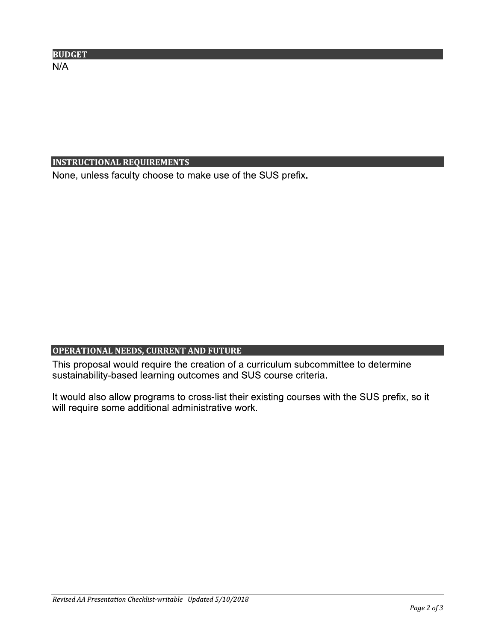| <b>BUDGET</b> |  |  |  |
|---------------|--|--|--|
| N/A           |  |  |  |
|               |  |  |  |

INSTRUCTIONAL REQUIREMENTS<br>None, unless faculty choose to make use of the SUS None, unless faculty choose to make use of the SUS prefix.

OPERATIONAL NEEDS, CURRENT AND FUTURE<br>This proposal would require the creation of a curriculum subcomm<br>sustainability-based learning outcomes and SUS course criteria.<br>It would also allow programs to cross-list their existi This proposal would require the creation of a curriculum subcommittee to determine sustainability-based learning outcomes and SUS course criteria.

It would also allow programs to cross-list their existing courses with the SUS prefix, so it will require some additional administrative work.